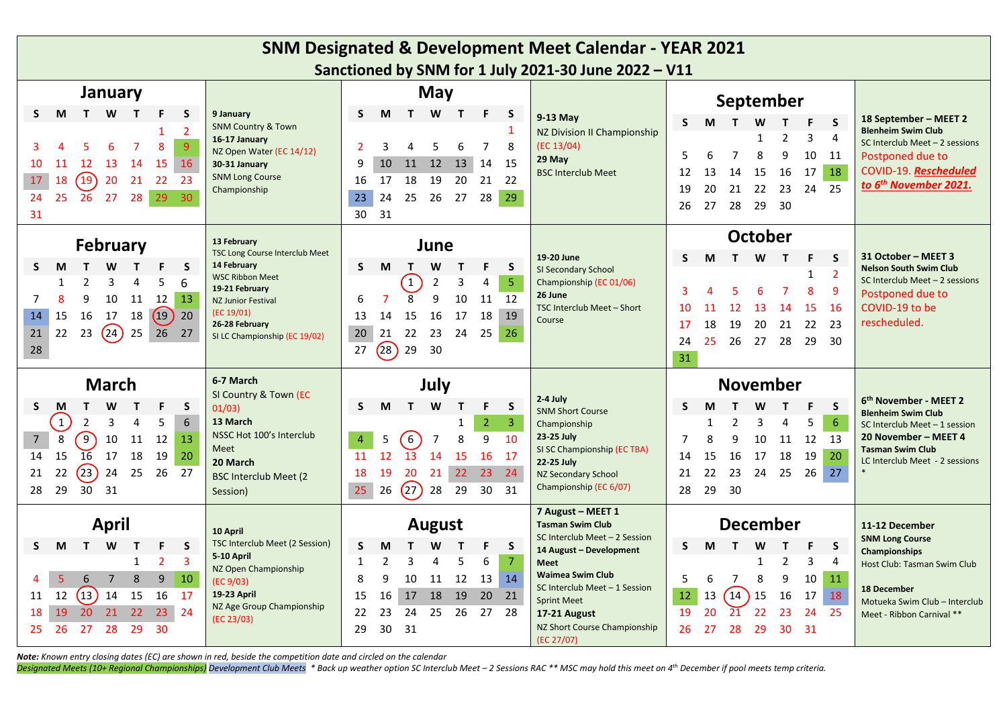| <b>SNM Designated &amp; Development Meet Calendar - YEAR 2021</b> |                 |                 |              |                |                |                                            |                          |                                                      |                                   |                |                  |                 |                      |                                              |                                                       |    |                   |              |                |                        |                |                                                             |
|-------------------------------------------------------------------|-----------------|-----------------|--------------|----------------|----------------|--------------------------------------------|--------------------------|------------------------------------------------------|-----------------------------------|----------------|------------------|-----------------|----------------------|----------------------------------------------|-------------------------------------------------------|----|-------------------|--------------|----------------|------------------------|----------------|-------------------------------------------------------------|
|                                                                   |                 |                 |              |                |                |                                            |                          | Sanctioned by SNM for 1 July 2021-30 June 2022 - V11 |                                   |                |                  |                 |                      |                                              |                                                       |    |                   |              |                |                        |                |                                                             |
|                                                                   | January         |                 |              |                |                | May                                        |                          |                                                      |                                   |                |                  |                 |                      |                                              |                                                       |    | September         |              |                |                        |                |                                                             |
| S.<br>M                                                           |                 | T W             | $\mathbf{T}$ | F              | <b>S</b>       | 9 January<br><b>SNM Country &amp; Town</b> | S                        | M                                                    |                                   | T W T          |                  | F.              | <b>S</b>             | 9-13 May                                     | <sub>S</sub>                                          | M  |                   | W            | т              | F.                     | <sub>S</sub>   | 18 September - MEET 2                                       |
|                                                                   |                 |                 |              |                | $\overline{2}$ | 16-17 January                              |                          |                                                      |                                   |                |                  |                 | 1                    | NZ Division II Championship                  |                                                       |    |                   | $\mathbf{1}$ | $\overline{2}$ | 3                      | 4              | <b>Blenheim Swim Club</b><br>SC Interclub Meet - 2 sessions |
|                                                                   |                 | 6               |              | 8              | $\overline{9}$ | NZ Open Water (EC 14/12)                   | $\overline{\phantom{a}}$ | 3                                                    |                                   | 5              | 6                | $\overline{7}$  | 8                    | (EC 13/04)<br>29 May                         | 5                                                     | 6  | $\overline{7}$    | 8            | 9              | 10                     | 11             | Postponed due to                                            |
| 10<br>11                                                          | 12              | 13              | 14           | 15             | 16             | 30-31 January<br><b>SNM Long Course</b>    | 9                        | 10                                                   |                                   | 11 12          | 13               | 14              | 15                   | <b>BSC Interclub Meet</b>                    | 12                                                    | 13 | 14                | 15           | 16             | 17                     | 18             | COVID-19. Rescheduled                                       |
| 18<br>17                                                          | $\boxed{19}$    | 20              | 21           | 22             | 23             | Championship                               | 16                       | 17                                                   | 18                                | 19             | 20               | 21 22           |                      |                                              | 19                                                    | 20 | 21                | 22           | 23             | 24                     | 25             | to 6 <sup>th</sup> November 2021.                           |
| 25<br>24<br>31                                                    | $\overline{26}$ | 27              | 28           | 29             | $30^{\circ}$   |                                            | 23<br>30                 | 24<br>31                                             | 25                                | 26             | 27               | 28              | 29                   |                                              | 26                                                    | 27 |                   | 28 29        | - 30           |                        |                |                                                             |
|                                                                   |                 |                 |              |                |                | 13 February                                |                          |                                                      |                                   |                |                  |                 |                      |                                              | October                                               |    |                   |              |                |                        |                |                                                             |
|                                                                   |                 | <b>February</b> |              |                |                | <b>TSC Long Course Interclub Meet</b>      |                          |                                                      |                                   | June           |                  |                 |                      | 19-20 June                                   | <sub>S</sub>                                          | M  |                   | T W          | $\mathbf{T}$   | F                      | <b>S</b>       | 31 October - MEET 3                                         |
| S<br>M                                                            |                 | W               |              | F.             | <sub>S</sub>   | 14 February<br><b>WSC Ribbon Meet</b>      | S.                       | M                                                    | T.                                | W              | $\mathbf{T}$     | F.              | S.                   | SI Secondary School                          |                                                       |    |                   |              |                | $\mathbf{1}$           | $\overline{2}$ | <b>Nelson South Swim Club</b>                               |
| $\mathbf{1}$                                                      | $\mathfrak{p}$  | 3               | 4            | 5              | 6              | 19-21 February                             |                          |                                                      | $\overline{1}$                    | $\overline{2}$ | 3                | 4               | 5 <sub>o</sub>       | Championship (EC 01/06)<br>26 June           | 3                                                     |    |                   | 6            | $\overline{7}$ | 8                      | 9              | SC Interclub Meet $-2$ sessions<br>Postponed due to         |
| $\mathsf{R}$                                                      | 9               | 10              |              | 11 12          | 13             | <b>NZ Junior Festival</b><br>(EC 19/01)    | 6                        | $\overline{7}$                                       | 8                                 | 9              | 10               | 11              | 12                   | TSC Interclub Meet - Short                   | 10                                                    | 11 | 12                | 13           | -14            | <b>15</b>              | <b>16</b>      | COVID-19 to be                                              |
| 14<br>15                                                          | 16              | 17              | 18           | $(19)$ 20      |                | 26-28 February                             | 13                       | 14                                                   | 15                                | 16             | 17               | 18              | 19                   | Course                                       | 17                                                    | 18 | 19                | 20           | 21             | 22                     | 23             | rescheduled.                                                |
| 21<br>28                                                          | 22 23           | (24)            |              | 25 26 27       |                | SI LC Championship (EC 19/02)              | 20<br>27                 | 21<br>(28)                                           | 22<br>29                          | 23<br>30       | 24               | 25              | 26                   |                                              | 24                                                    | 25 | 26                | 27           | 28             | 29                     | 30             |                                                             |
|                                                                   |                 |                 |              |                |                |                                            |                          |                                                      |                                   |                |                  |                 |                      |                                              | 31                                                    |    |                   |              |                |                        |                |                                                             |
|                                                                   |                 | <b>March</b>    |              |                |                | 6-7 March                                  | July                     |                                                      |                                   |                |                  | <b>November</b> |                      |                                              |                                                       |    |                   |              |                |                        |                |                                                             |
| S.<br>M                                                           | т               | W               | T.           | F.             | <sub>S</sub>   | SI Country & Town (EC<br>01/03)            | S.                       | M                                                    | T                                 | W              | $\mathbf{T}$     | F.              | S.                   | 2-4 July<br><b>SNM Short Course</b>          | S.                                                    | M  |                   | W            | т              | F                      | S              | 6 <sup>th</sup> November - MEET 2                           |
| $\mathbf{1}$                                                      | $\overline{2}$  | 3               | 4            | 5              | 6              | 13 March                                   |                          |                                                      |                                   |                | 1                | $\overline{2}$  | $\overline{3}$       | Championship                                 |                                                       | 1  | 2                 | 3            | $\overline{4}$ | 5                      | 6              | <b>Blenheim Swim Club</b><br>SC Interclub Meet - 1 session  |
| 8<br>$7\overline{ }$                                              | $\mathcal{C}$   | 10              | 11           | 12             | 13             | NSSC Hot 100's Interclub                   | $\overline{4}$           | 5                                                    | $\begin{bmatrix} 6 \end{bmatrix}$ | 7              | 8                | 9               | 10                   | 23-25 July                                   | 7                                                     | 8  | 9                 | 10           | 11             | 12                     | 13             | 20 November - MEET 4                                        |
| 15<br>14                                                          | 16              | 17              | 18           | 19             | 20             | Meet<br>20 March                           | 11                       | 12                                                   | 13                                | 14             | 15               | 16              | 17                   | SI SC Championship (EC TBA)<br>22-25 July    | 14                                                    | 15 | 16                | 17           | 18             | 19                     | 20             | <b>Tasman Swim Club</b><br>LC Interclub Meet - 2 sessions   |
| 22<br>21                                                          | (23)            | 24              | 25           | 26             | 27             | <b>BSC Interclub Meet (2</b>               | 18                       | 19                                                   | 20                                | 21             | 22               | 23 24           |                      | 23<br>21<br>22<br>NZ Secondary School        | 24                                                    | 25 | 26                | 27           |                |                        |                |                                                             |
| 29<br>28                                                          | 30              | 31              |              |                |                | Session)                                   | 25                       | 26                                                   | $\sqrt{27}$                       |                | 28 29            | 30              | 31                   | Championship (EC 6/07)                       | 28                                                    | 29 | 30                |              |                |                        |                |                                                             |
| <b>April</b>                                                      |                 |                 |              |                |                |                                            | August                   |                                                      |                                   |                |                  |                 |                      | 7 August - MEET 1<br><b>Tasman Swim Club</b> | <b>December</b>                                       |    |                   |              |                |                        | 11-12 December |                                                             |
| 10 April<br>F.<br><sub>S</sub><br>M<br>T W<br>T.                  |                 |                 |              |                |                | TSC Interclub Meet (2 Session)             |                          |                                                      |                                   |                |                  |                 |                      | SC Interclub Meet - 2 Session                | S.<br>M<br>F<br>S<br>W<br>$\mathbf T$<br>$\mathbf{T}$ |    |                   |              |                | <b>SNM Long Course</b> |                |                                                             |
| S.                                                                |                 |                 | $\mathbf{1}$ | $\overline{2}$ | $\overline{3}$ | 5-10 April                                 | S<br>$\mathbf{1}$        | M<br>$\overline{2}$                                  | $\overline{\mathbf{3}}$           | W<br>4         | $\mathbf T$<br>5 | F.<br>6         | S.<br>$\overline{7}$ | 14 August - Development<br><b>Meet</b>       |                                                       |    |                   | $\mathbf{1}$ | $\overline{2}$ | 3                      | $\overline{4}$ | Championships                                               |
| 5                                                                 | 6               | $\overline{7}$  | 8            | $\overline{9}$ | 10             | NZ Open Championship                       | 8                        | 9                                                    | 10                                | 11             | 12               | 13              | 14                   | <b>Waimea Swim Club</b>                      | 5                                                     | 6  | $\overline{7}$    | 8            | 9              | 10                     | 11             | Host Club: Tasman Swim Club                                 |
| 12<br>11                                                          | (13)            | 14              | 15           | 16             | 17             | (EC 9/03)<br>19-23 April                   | 15                       | 16                                                   | 17                                | 18             | 19               | 20              | 21                   | SC Interclub Meet - 1 Session                | 12                                                    | 13 | $\left(14\right)$ | 15           | 16             | 17                     | 18             | 18 December                                                 |
| 19<br>18                                                          | 20              | 21              | 22           | 23             | 24             | NZ Age Group Championship                  | 22                       | 23                                                   | 24                                | 25             | 26               | 27              | 28                   | <b>Sprint Meet</b><br>17-21 August           | 19                                                    | 20 | 21                | 22           | 23             | 24                     | 25             | Motueka Swim Club - Interclub<br>Meet - Ribbon Carnival **  |
| 25<br>26                                                          | 27              | 28              | 29           | 30             |                | (EC 23/03)                                 | 29                       | 30                                                   | 31                                |                |                  |                 |                      | NZ Short Course Championship                 | 26                                                    | 27 | 28                | 29           | 30             | $-31$                  |                |                                                             |
|                                                                   |                 |                 |              |                |                |                                            |                          |                                                      |                                   |                |                  |                 |                      | (EC 27/07)                                   |                                                       |    |                   |              |                |                        |                |                                                             |

*Note: Known entry closing dates (EC) are shown in red, beside the competition date and circled on the calendar*

Designated Meets (10+ Regional Championships) Development Club Meets \* Back up weather option SC Interclub Meet – 2 Sessions RAC \*\* MSC may hold this meet on 4<sup>th</sup> December if pool meets temp criteria.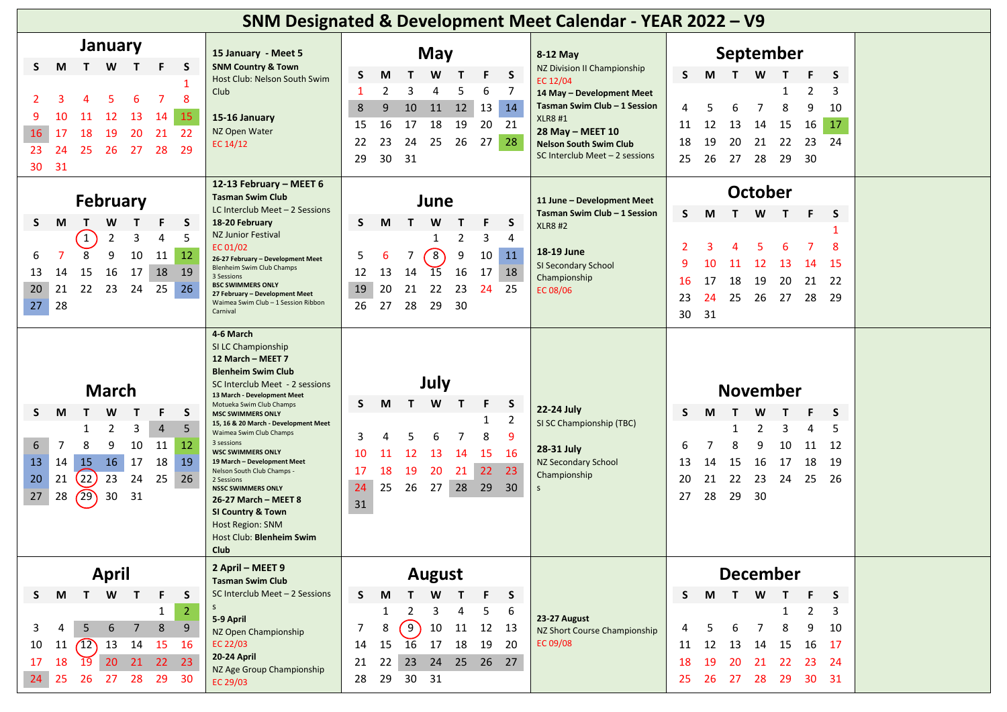| SNM Designated & Development Meet Calendar - YEAR 2022 - V9                                                                                                                                                                                                                                                                                                                                                |                                                                                                                                                                                                                                                                                                                                                                                                                                                                                                                                                                                               |                                                                                                                                                                                                                                                                                                                                                                                                                                                                                                                                                                                                                                                                                                                                                                             |                                                                                                                                                                                                                                                                                                                                                                       |  |  |  |  |  |  |  |
|------------------------------------------------------------------------------------------------------------------------------------------------------------------------------------------------------------------------------------------------------------------------------------------------------------------------------------------------------------------------------------------------------------|-----------------------------------------------------------------------------------------------------------------------------------------------------------------------------------------------------------------------------------------------------------------------------------------------------------------------------------------------------------------------------------------------------------------------------------------------------------------------------------------------------------------------------------------------------------------------------------------------|-----------------------------------------------------------------------------------------------------------------------------------------------------------------------------------------------------------------------------------------------------------------------------------------------------------------------------------------------------------------------------------------------------------------------------------------------------------------------------------------------------------------------------------------------------------------------------------------------------------------------------------------------------------------------------------------------------------------------------------------------------------------------------|-----------------------------------------------------------------------------------------------------------------------------------------------------------------------------------------------------------------------------------------------------------------------------------------------------------------------------------------------------------------------|--|--|--|--|--|--|--|
| January<br>W<br>M<br>$\mathbf{T}$<br>$\mathbf{T}$<br>F.<br>-S<br>S.<br>8<br>15<br>12<br>13<br>14<br>9<br>10<br>16<br>-22<br>17<br>18<br>19<br>20<br>21<br>23<br>27<br>28<br>29<br>24<br>-25<br>26<br>31<br>30<br><b>February</b><br>M<br>W<br>S.<br>$\mathbf{T}$<br>F.<br>$\mathbf T$<br>S.<br>$\mathbf{1}$<br>3<br>5<br>2<br>4<br>8<br>9<br>10<br>12<br>11<br>6<br>15<br>16<br>17<br>18<br>13<br>14<br>19 | 15 January - Meet 5<br><b>SNM Country &amp; Town</b><br>Host Club: Nelson South Swim<br>Club<br>15-16 January<br>NZ Open Water<br>EC 14/12<br>12-13 February - MEET 6<br><b>Tasman Swim Club</b><br>LC Interclub Meet - 2 Sessions<br>18-20 February<br><b>NZ Junior Festival</b><br>EC 01/02<br>26-27 February - Development Meet<br>Blenheim Swim Club Champs<br>3 Sessions                                                                                                                                                                                                                 | <b>May</b><br>8-12 May<br>NZ Division II Championship<br>F<br>S<br>S<br>М<br>W<br>$\mathsf{T}$<br>EC 12/04<br>2<br>3<br>5<br>6<br>7<br>4<br>-1<br>14 May - Development Meet<br>Tasman Swim Club - 1 Session<br>14<br>10<br>11<br>12<br>13<br>8<br>9<br><b>XLR8#1</b><br>19<br>17<br>18<br>20<br>21<br>16<br>-15<br>28 May - MEET 10<br>23<br>27<br>28<br>22<br>24<br>25<br>26<br><b>Nelson South Swim Club</b><br>SC Interclub Meet - 2 sessions<br>31<br>30<br>29<br>June<br>11 June - Development Meet<br>Tasman Swim Club - 1 Session<br>W<br>S<br>T.<br>M<br>F<br>S.<br><b>XLR8 #2</b><br>$\overline{2}$<br>3<br>4<br>1<br>18-19 June<br>$\mathcal{S}$<br>9<br>11<br>7<br>10<br>5<br>6<br>SI Secondary School<br>13<br>15<br>18<br>12<br>14<br>16<br>17<br>Championship | September<br>M T W<br>S.<br>$\mathbf{T}$<br>S.<br>2<br>3<br>1<br>7<br>8<br>9<br>4<br>5<br>6<br>10<br>13<br>14<br>15<br>16<br>17<br>11<br>12<br>20<br>22<br>18<br>19<br>21<br>23<br>24<br>27<br>- 28<br>29<br>-30<br>25<br>26<br><b>October</b><br>T W<br>S.<br>M<br>-F<br>$\mathbf{T}$<br>S.<br>8<br>2<br>5.<br>9<br>10<br>12<br>-13<br>-15<br>11<br>14               |  |  |  |  |  |  |  |
| 22<br>23<br>20<br>21<br>26<br>24<br>25<br>28<br>27<br><b>March</b><br>W<br>т<br>F.<br>S<br>S.<br>M<br>T.<br>2<br>3<br>$\overline{4}$<br>5<br>-1<br>6<br>10<br>7<br>9<br>11<br>-12<br>16<br>13<br>15<br>17<br>18<br>19<br>14<br>(22)<br>23<br>20<br>21<br>25<br>24<br>26<br>(29)<br>30<br>27<br>28<br>31                                                                                                    | <b>BSC SWIMMERS ONLY</b><br>27 February - Development Meet<br>Waimea Swim Club - 1 Session Ribbon<br>Carnival<br>4-6 March<br>SI LC Championship<br>12 March - MEET 7<br><b>Blenheim Swim Club</b><br>SC Interclub Meet - 2 sessions<br>13 March - Development Meet<br>Motueka Swim Club Champs<br><b>MSC SWIMMERS ONLY</b><br>15, 16 & 20 March - Development Meet<br>Waimea Swim Club Champs<br>3 sessions<br><b>WSC SWIMMERS ONLY</b><br>19 March - Development Meet<br>Nelson South Club Champs -<br>2 Sessions<br><b>NSSC SWIMMERS ONLY</b><br>26-27 March - MEET 8<br>SI Country & Town | 19<br>20<br>21<br>22<br>23<br>- 24<br>25<br>EC 08/06<br>27<br>28<br>29<br>30<br>26<br>July<br>F.<br>W<br>S<br>S.<br>M<br>$\mathbf{T}$<br>22-24 July<br>$\overline{2}$<br>SI SC Championship (TBC)<br>9<br>3<br>8<br>6<br>28-31 July<br>13<br>14<br>16<br>11<br>-12<br>15<br>10<br>NZ Secondary School<br>19<br>22<br>23<br>17<br>18<br>20<br>21<br>Championship<br>24<br>25<br>26<br>27<br>28 29 30<br>$\mathsf{S}$<br>31                                                                                                                                                                                                                                                                                                                                                   | 18<br>19<br>16<br>20<br>21<br>-22<br>17<br>24<br>25<br>26<br>27<br>28<br>23<br>-29<br>31<br>30<br><b>November</b><br>W<br>S.<br>M<br>$\mathbf{T}$<br>T.<br>S.<br>$\overline{2}$<br>3<br>1<br>4<br>5<br>$\overline{7}$<br>8<br>10<br>6<br>9<br>11<br>12<br>16<br>17<br>18<br>15<br>-19<br>13<br>14<br>22<br>23<br>21<br>24<br>-25<br>20<br>-26<br>29<br>27<br>28<br>30 |  |  |  |  |  |  |  |
| <b>April</b><br>W<br>$\mathsf{S}$<br>$\mathbf{T}$<br>F.<br>M<br>$\mathbf{T}$<br>S.<br>s<br>$\overline{2}$<br>$\mathbf{1}$<br>6<br>8<br>9<br>3<br>$\overline{7}$<br>5<br>11 $(12)$ 13 14<br>10<br>-15<br>-16<br>20 <sub>1</sub><br>21 22 23<br>17<br>18<br>$\overline{19}$<br>24<br>25<br>26 27 28<br>29<br>30                                                                                              | <b>Host Region: SNM</b><br>Host Club: Blenheim Swim<br>Club<br>2 April - MEET 9<br><b>Tasman Swim Club</b><br>SC Interclub Meet - 2 Sessions<br>5-9 April<br>NZ Open Championship<br>EC 22/03<br>20-24 April<br>NZ Age Group Championship<br>EC 29/03                                                                                                                                                                                                                                                                                                                                         | <b>August</b><br>S<br>F<br>S<br>W<br>M<br>$\mathbf T$<br>2<br>3<br>$\overline{4}$<br>5<br>-6<br>1<br>23-27 August<br>$\int$<br>10 11 12 13<br>8<br>7<br>NZ Short Course Championship<br>EC 09/08<br>17 18<br>15<br>16<br>19<br>- 20<br>14<br>23<br>24 25 26 27<br>21<br>22<br>30 31<br>29<br>28                                                                                                                                                                                                                                                                                                                                                                                                                                                                             | <b>December</b><br>M T W<br>S.<br>$\mathbf{T}$<br>- F<br>S.<br>1<br>2<br>3<br>$\overline{7}$<br>8<br>9<br>6<br>10<br>4<br>5<br>15<br>16<br>11<br>12<br>13<br>14<br>-17<br>18<br>19<br>20<br>21 22<br>23 24<br>26 27 28<br>29<br>30<br>25<br>-31                                                                                                                       |  |  |  |  |  |  |  |